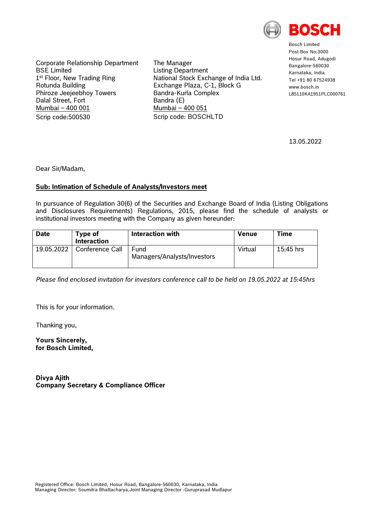

Bosch Limited Post Box No:3000 Hosur Road, Adugodi Bangalore-560030 Karnataka, India Tel +91 80 67524938 www.hosch.in L85110KA1951PLC000761

13.05.2022

Corporate Relationship Department BSE Limited 1<sup>st</sup> Floor, New Trading Ring Rotunda Building Phiroze Jeejeebhoy Towers Dalal Street, Fort Mumbai – 400 001 Scrip code:500530

The Manager Listing Department National Stock Exchange of India Ltd. Exchange Plaza, C-1, Block G Bandra-Kurla Complex Bandra (E) Mumbai – 400 051 Scrip code: BOSCHLTD

Dear Sir/Madam,

## **Sub: Intimation of Schedule of Analysts/Investors meet**

In pursuance of Regulation 30(6) of the Securities and Exchange Board of India (Listing Obligations and Disclosures Requirements) Regulations, 2015, please find the schedule of analysts or institutional investors meeting with the Company as given hereunder:

| <b>Date</b> | Type of<br><b>Interaction</b> | Interaction with                    | Venue   | Time      |
|-------------|-------------------------------|-------------------------------------|---------|-----------|
| 19.05.2022  | Conference Call               | Fund<br>Managers/Analysts/Investors | Virtual | 15:45 hrs |

*Please find enclosed invitation for investors conference call to be held on 19.05.2022 at 15:45hrs*

This is for your information.

Thanking you,

**Yours Sincerely, for Bosch Limited,**

**Divya Ajith Company Secretary & Compliance Officer**